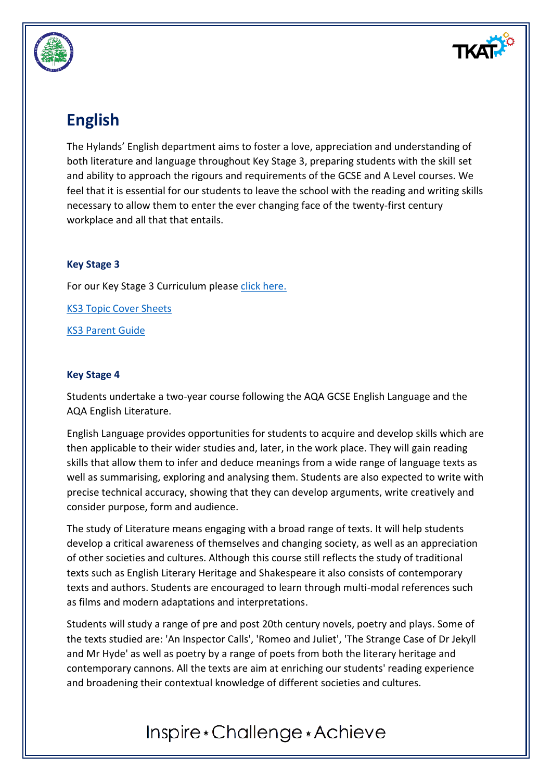

# **English**

The Hylands' English department aims to foster a love, appreciation and understanding of both literature and language throughout Key Stage 3, preparing students with the skill set and ability to approach the rigours and requirements of the GCSE and A Level courses. We feel that it is essential for our students to leave the school with the reading and writing skills necessary to allow them to enter the ever changing face of the twenty-first century workplace and all that that entails.

# **Key Stage 3**

For our Key Stage 3 Curriculum pleas[e click here.](KS3%20Long%20Term%20Plan%202017-18%20(english).pdf)

[KS3 Topic Cover Sheets](KS3%20Topic%20Cover%20Sheets.pdf)

[KS3 Parent Guide](Parent%20Guide%20KS3.pdf)

# **Key Stage 4**

Students undertake a two-year course following the AQA GCSE English Language and the AQA English Literature.

English Language provides opportunities for students to acquire and develop skills which are then applicable to their wider studies and, later, in the work place. They will gain reading skills that allow them to infer and deduce meanings from a wide range of language texts as well as summarising, exploring and analysing them. Students are also expected to write with precise technical accuracy, showing that they can develop arguments, write creatively and consider purpose, form and audience.

The study of Literature means engaging with a broad range of texts. It will help students develop a critical awareness of themselves and changing society, as well as an appreciation of other societies and cultures. Although this course still reflects the study of traditional texts such as English Literary Heritage and Shakespeare it also consists of contemporary texts and authors. Students are encouraged to learn through multi-modal references such as films and modern adaptations and interpretations.

Students will study a range of pre and post 20th century novels, poetry and plays. Some of the texts studied are: 'An Inspector Calls', 'Romeo and Juliet', 'The Strange Case of Dr Jekyll and Mr Hyde' as well as poetry by a range of poets from both the literary heritage and contemporary cannons. All the texts are aim at enriching our students' reading experience and broadening their contextual knowledge of different societies and cultures.

# Inspire \* Challenge \* Achieve